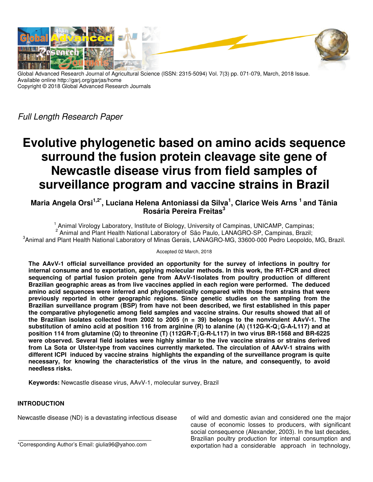

Global Advanced Research Journal of Agricultural Science (ISSN: 2315-5094) Vol. 7(3) pp. 071-079, March, 2018 Issue. Available online http://garj.org/garjas/home Copyright © 2018 Global Advanced Research Journals

Full Length Research Paper

# **Evolutive phylogenetic based on amino acids sequence surround the fusion protein cleavage site gene of Newcastle disease virus from field samples of surveillance program and vaccine strains in Brazil**

**Maria Angela Orsi1,2\*, Luciana Helena Antoniassi da Silva<sup>1</sup> , Clarice Weis Arns <sup>1</sup>and Tânia Rosária Pereira Freitas<sup>3</sup>**

<sup>1</sup> Animal Virology Laboratory, Institute of Biology, University of Campinas, UNICAMP, Campinas; <sup>2</sup> Animal and Plant Health National Laboratory of São Paulo, LANAGRO-SP, Campinas, Brazil; 3 Animal and Plant Health National Laboratory of Minas Gerais, LANAGRO-MG, 33600-000 Pedro Leopoldo, MG, Brazil.

### Accepted 02 March, 2018

**The AAvV-1 official surveillance provided an opportunity for the survey of infections in poultry for internal consume and to exportation, applying molecular methods. In this work, the RT-PCR and direct sequencing of partial fusion protein gene from AAvV-1isolates from poultry production of different Brazilian geographic areas as from live vaccines applied in each region were performed. The deduced amino acid sequences were inferred and phylogenetically compared with those from strains that were previously reported in other geographic regions. Since genetic studies on the sampling from the Brazilian surveillance program (BSP) from have not been described, we first established in this paper the comparative phylogenetic among field samples and vaccine strains. Our results showed that all of the Brazilian isolates collected from 2002 to 2005 (n = 39) belongs to the nonvirulent AAvV-1. The substitution of amino acid at position 116 from arginine (R) to alanine (A) (112G-K-Q↓G-A-L117) and at position 114 from glutamine (Q) to threonine (T) (112GR-T↓G-R-L117) in two virus BR-1568 and BR-6225 were observed. Several field isolates were highly similar to the live vaccine strains or strains derived from La Sota or Ulster-type from vaccines currently marketed. The circulation of AAvV-1 strains with different ICPI induced by vaccine strains highlights the expanding of the surveillance program is quite necessary, for knowing the characteristics of the virus in the nature, and consequently, to avoid needless risks.** 

**Keywords:** Newcastle disease virus, AAvV-1, molecular survey, Brazil

## **INTRODUCTION**

Newcastle disease (ND) is a devastating infectious disease

of wild and domestic avian and considered one the major cause of economic losses to producers, with significant social consequence (Alexander, 2003). In the last decades, Brazilian poultry production for internal consumption and exportation had a considerable approach in technology,

<sup>\*</sup>Corresponding Author's Email: giulia96@yahoo.com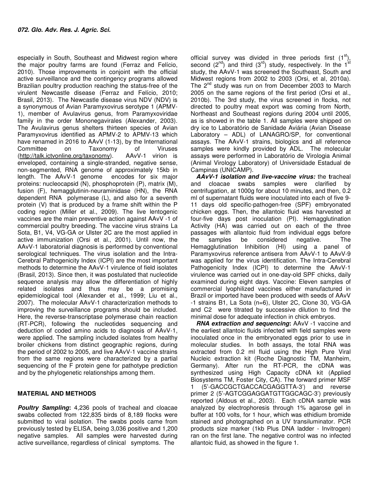especially in South, Southeast and Midwest region where the major poultry farms are found (Ferraz and Felício, 2010). Those improvements in conjoint with the official active surveillance and the contingency programs allowed Brazilian poultry production reaching the status-free of the virulent Newcastle disease (Ferraz and Felício, 2010; Brasil, 2013). The Newcastle disease virus NDV (NDV) is a synonymous of Avian Paramyxovirus serotype 1 (APMV-1), member of Avulavirus genus, from Paramyxoviridae family in the order Mononegavirales (Alexander, 2003). The Avulavirus genus shelters thirteen species of Avian Paramyxovirus identified as APMV-2 to APMV-13 which have renamed in 2016 to AAvV (1-13), by the International Committee on Taxonomy of Viruses (http://talk.ictvonline.org/taxonomy). AAvV-1 virion is enveloped, containing a single-stranded, negative sense, non-segmented, RNA genome of approximately 15kb in length. The AAvV-1 genome encodes for six major proteins: nucleocapsid (N), phosphoprotein (P), matrix (M), fusion (F), hemagglutinin-neuraminidase (HN), the RNA dependent RNA polymerase (L), and also for a seventh protein (V) that is produced by a frame shift within the P coding region (Miller et al., 2009). The live lentogenic vaccines are the main preventive action against AAvV -1 of commercial poultry breeding. The vaccine virus strains La Sota, B1, V4, VG-GA or Ulster 2C are the most applied in active immunization (Orsi et al., 2001). Until now, the AAvV-1 laboratorial diagnosis is performed by conventional serological techniques. The virus isolation and the Intra-Cerebral Pathogenicity Index (ICPI) are the most important methods to determine the AAvV-1 virulence of field isolates (Brasil, 2013). Since then, it was postulated that nucleotide sequence analysis may allow the differentiation of highly related isolates and thus may be a promising epidemiological tool (Alexander et al., 1999; Liu et al., 2007). The molecular AAvV-1 characterization methods to improving the surveillance programs should be included. Here, the reverse-transcriptase polymerase chain reaction (RT-PCR), following the nucleotides sequencing and deduction of coded amino acids to diagnosis of AAvV-1, were applied. The sampling included isolates from healthy broiler chickens from distinct geographic regions, during the period of 2002 to 2005, and live AAvV-1 vaccine strains from the same regions were characterized by a partial sequencing of the F protein gene for pathotype prediction and by the phylogenetic relationships among them.

## **MATERIAL AND METHODS**

*Poultry Sampling***:** 4,236 pools of tracheal and cloacae swabs collected from 122,835 birds of 8,189 flocks were submitted to viral isolation. The swabs pools came from previously tested by ELISA, being 3,036 positive and 1,200 negative samples. All samples were harvested during active surveillance, regardless of clinical symptoms. The

official survey was divided in three periods first  $(1<sup>st</sup>)$ , second  $(2^{nd})$  and third  $(3^{rd})$  study, respectively. In the 1<sup>st</sup> study, the AAvV-1 was screened the Southeast, South and Midwest regions from 2002 to 2003 (Orsi, et al, 2010a). The  $2^{nd}$  study was run on from December 2003 to March 2005 on the same regions of the first period (Orsi et al., 2010b). The 3rd study, the virus screened in flocks, not directed to poultry meat export was coming from North, Northeast and Southeast regions during 2004 until 2005, as is showed in the table 1. All samples were shipped on dry ice to Laboratório de Sanidade Aviária (Avian Disease Laboratory – ADL) of LANAGRO/SP, for conventional assays. The AAvV-1 strains, biologics and all reference samples were kindly provided by ADL. The molecular assays were performed in Laboratório de Virologia Animal (Animal Virology Laboratory) of Universidade Estadual de Campinas (UNICAMP).

*AAvV-1 isolation and live-vaccine virus:* the **t**racheal and cloacae swabs samples were clarified by centrifugation, at 1000g for about 10 minutes, and then, 0.2 ml of supernatant fluids were inoculated into each of five 9- 11 days old specific-pathogen-free (SPF) embryonated chicken eggs. Then, the allantoic fluid was harvested at four-five days post inoculation (PI). Hemagglutination Activity (HA) was carried out on each of the three passages with allantoic fluid from individual eggs before the samples be considered negative. The Hemagglutination Inhibition (HI) using a panel of Paramyxovirus reference antisera from AAvV-1 to AAvV-9 was applied for the virus identification. The Intra-Cerebral Pathogenicity Index (ICPI) to determine the AAvV-1 virulence was carried out in one-day-old SPF chicks, daily examined during eight days. Vaccine: Eleven samples of commercial lyophilized vaccines either manufactured in Brazil or imported have been produced with seeds of AAvV -1 strains B1, La Sota (n=6), Ulster 2C, Clone 30, VG-GA and C2 were titrated by successive dilution to find the minimal dose for adequate infection in chick embryos.

*RNA extraction and sequencing*: AAvV -1 vaccine and the earliest allantoic fluids infected with field samples were inoculated once in the embryonated eggs prior to use in molecular studies. In both assays, the total RNA was extracted from 0.2 ml fluid using the High Pure Viral Nucleic extraction kit (Roche Diagnostic TM, Manheim, Germany). After run the RT-PCR, the cDNA was synthesized using High Capacity cDNA kit (Applied Biosystems TM, Foster City, CA). The forward primer MSF 1 (5'-GACCGCTGACCACGAGGTTA-3') and reverse primer 2 (5'-AGTCGGAGGATGTTGGCAGC-3') previously reported (Aldous et al., 2003). Each cDNA sample was analyzed by electrophoresis through 1% agarose gel in buffer at 100 volts, for 1 hour, which was ethidium bromide stained and photographed on a UV transiluminator. PCR products size marker (1kb Plus DNA ladder - Invitrogen) ran on the first lane. The negative control was no infected allantoic fluid, as showed in the figure 1.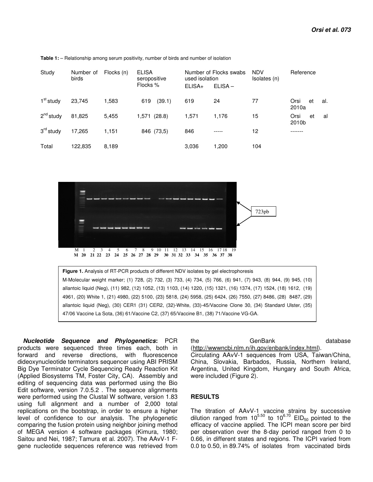| Study                 | Number of<br>birds | Flocks (n) | <b>ELISA</b><br>seropositive<br>Flocks % | used isolation<br>$ELISA+$ | Number of Flocks swabs<br>$ELISA -$ | <b>NDV</b><br>Isolates (n) | Reference                  |
|-----------------------|--------------------|------------|------------------------------------------|----------------------------|-------------------------------------|----------------------------|----------------------------|
| 1 <sup>st</sup> study | 23,745             | 1,583      | 619<br>(39.1)                            | 619                        | 24                                  | 77                         | Orsi<br>et<br>al.<br>2010a |
| $2^{nd}$ study        | 81,825             | 5.455      | 1,571 (28.8)                             | 1,571                      | 1.176                               | 15                         | Orsi<br>et<br>al<br>2010b  |
| $3rd$ study           | 17,265             | 1,151      | 846 (73,5)                               | 846                        | -----                               | 12                         |                            |
| Total                 | 122.835            | 8.189      |                                          | 3.036                      | 1,200                               | 104                        |                            |

**Table 1:** – Relationship among serum positivity, number of birds and number of isolation



*Nucleotide Sequence and Phylogenetics***:** PCR products were sequenced three times each, both in forward and reverse directions, with fluorescence dideoxynucleotide terminators sequencer using ABI PRISM Big Dye Terminator Cycle Sequencing Ready Reaction Kit (Applied Biosystems TM, Foster City, CA). Assembly and editing of sequencing data was performed using the Bio Edit software, version 7.0.5.2 . The sequence alignments were performed using the Clustal W software, version 1.83 using full alignment and a number of 2,000 total replications on the bootstrap, in order to ensure a higher level of confidence to our analysis. The phylogenetic comparing the fusion protein using neighbor joining method of MEGA version 4 software packages (Kimura, 1980; Saitou and Nei, 1987; Tamura et al. 2007). The AAvV-1 Fgene nucleotide sequences reference was retrieved from

the GenBank database (http://wwwncbi.nlm.n/ih.gov/enbank/index.html). Circulating AAvV-1 sequences from USA, Taiwan/China,

China, Slovakia, Barbados, Russia, Northern Ireland, Argentina, United Kingdom, Hungary and South Africa, were included (Figure 2).

#### **RESULTS**

The titration of AAvV-1 vaccine strains by successive dilution ranged from  $10^{5.50}$  to  $10^{6.70}$  EID<sub>50</sub> pointed to the efficacy of vaccine applied. The ICPI mean score per bird per observation over the 8-day period ranged from 0 to 0.66, in different states and regions. The ICPI varied from 0.0 to 0.50, in 89.74% of isolates from vaccinated birds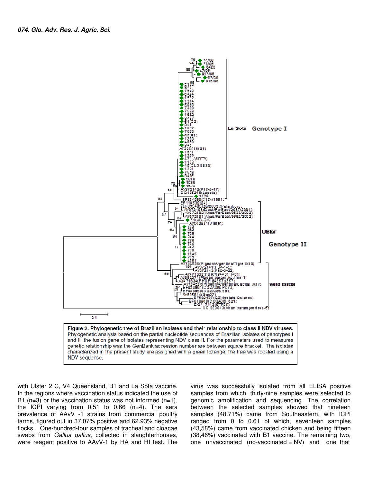

with Ulster 2 C, V4 Queensland, B1 and La Sota vaccine. In the regions where vaccination status indicated the use of B1 ( $n=3$ ) or the vaccination status was not informed ( $n=1$ ), the ICPI varying from 0.51 to 0.66 (n=4). The sera prevalence of AAvV -1 strains from commercial poultry farms, figured out in 37.07% positive and 62.93% negative flocks. One-hundred-four samples of tracheal and cloacae swabs from Gallus gallus, collected in slaughterhouses, were reagent positive to AAvV-1 by HA and HI test. The virus was successfully isolated from all ELISA positive samples from which, thirty-nine samples were selected to genomic amplification and sequencing. The correlation between the selected samples showed that nineteen samples (48.71%) came from Southeastern, with ICPI ranged from 0 to 0.61 of which, seventeen samples (43,58%) came from vaccinated chicken and being fifteen (38,46%) vaccinated with B1 vaccine. The remaining two, one unvaccinated (no-vaccinated  $= NV$ ) and one that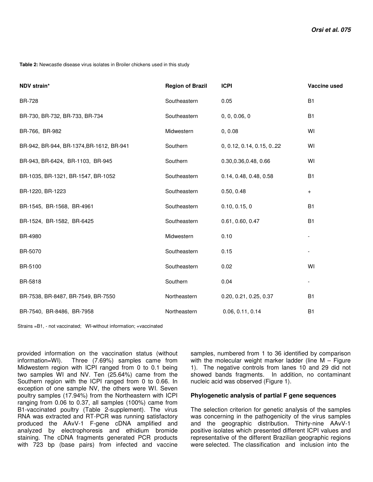**Table 2:** Newcastle disease virus isolates in Broiler chickens used in this study

| NDV strain*                              | <b>Region of Brazil</b> | <b>ICPI</b>              | Vaccine used |
|------------------------------------------|-------------------------|--------------------------|--------------|
| <b>BR-728</b>                            | Southeastern            | 0.05                     | B1           |
| BR-730, BR-732, BR-733, BR-734           | Southeastern            | 0, 0, 0.06, 0            | <b>B1</b>    |
| BR-766, BR-982                           | Midwestern              | 0, 0.08                  | WI           |
| BR-942, BR-944, BR-1374, BR-1612, BR-941 | Southern                | 0, 0.12, 0.14, 0.15, 022 | WI           |
| BR-943, BR-6424, BR-1103, BR-945         | Southern                | 0.30,0.36,0.48,0.66      | WI           |
| BR-1035, BR-1321, BR-1547, BR-1052       | Southeastern            | 0.14, 0.48, 0.48, 0.58   | B1           |
| BR-1220, BR-1223                         | Southeastern            | 0.50, 0.48               | $\ddot{}$    |
| BR-1545, BR-1568, BR-4961                | Southeastern            | 0.10, 0.15, 0            | <b>B1</b>    |
| BR-1524, BR-1582, BR-6425                | Southeastern            | 0.61, 0.60, 0.47         | <b>B1</b>    |
| BR-4980                                  | Midwestern              | 0.10                     |              |
| BR-5070                                  | Southeastern            | 0.15                     |              |
| BR-5100                                  | Southeastern            | 0.02                     | WI           |
| BR-5818                                  | Southern                | 0.04                     | -            |
| BR-7538, BR-8487, BR-7549, BR-7550       | Northeastern            | 0.20, 0.21, 0.25, 0.37   | <b>B1</b>    |
| BR-7540, BR-8486, BR-7958                | Northeastern            | 0.06, 0.11, 0.14         | B1           |

Strains =B1, - not vaccinated; WI-without information; +vaccinated

provided information on the vaccination status (without information=WI). Three (7.69%) samples came from Midwestern region with ICPI ranged from 0 to 0.1 being two samples WI and NV. Ten (25.64%) came from the Southern region with the ICPI ranged from 0 to 0.66. In exception of one sample NV, the others were WI. Seven poultry samples (17.94%) from the Northeastern with ICPI ranging from 0.06 to 0.37, all samples (100%) came from B1-vaccinated poultry (Table 2-supplement). The virus RNA was extracted and RT-PCR was running satisfactory produced the AAvV-1 F-gene cDNA amplified and analyzed by electrophoresis and ethidium bromide staining. The cDNA fragments generated PCR products with 723 bp (base pairs) from infected and vaccine

samples, numbered from 1 to 36 identified by comparison with the molecular weight marker ladder (line  $M -$  Figure 1). The negative controls from lanes 10 and 29 did not showed bands fragments. In addition, no contaminant nucleic acid was observed (Figure 1).

### **Phylogenetic analysis of partial F gene sequences**

The selection criterion for genetic analysis of the samples was concerning in the pathogenicity of the virus samples and the geographic distribution. Thirty-nine AAvV-1 positive isolates which presented different ICPI values and representative of the different Brazilian geographic regions were selected. The classification and inclusion into the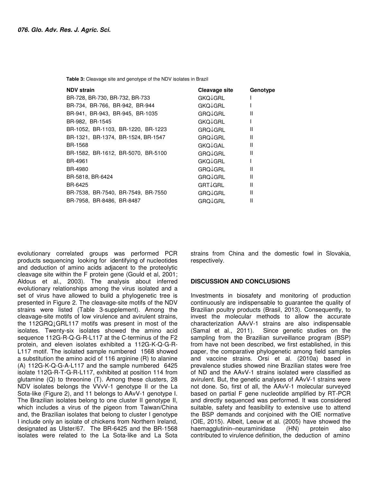**Table 3:** Cleavage site and genotype of the NDV isolates in Brazil

| <b>NDV strain</b>                  | Cleavage site        | Genotype |
|------------------------------------|----------------------|----------|
| BR-728, BR-730, BR-732, BR-733     | GKQ↓GRL              |          |
| BR-734, BR-766, BR-942, BR-944     | <b>GKQ</b> JGRL      |          |
| BR-941, BR-943, BR-945, BR-1035    | GRO <sub>V</sub> GRL | Ш        |
| BR-982, BR-1545                    | <b>GKQ</b> JGRL      |          |
| BR-1052, BR-1103, BR-1220, BR-1223 | GRQ <sup>1</sup> GRL | Ш        |
| BR-1321, BR-1374, BR-1524, BR-1547 | <b>GRQ</b> JGRL      | Ш        |
| BR-1568                            | GKQ↓GAL              | Ш        |
| BR-1582, BR-1612, BR-5070, BR-5100 | <b>GROJGRL</b>       | Ш        |
| BR-4961                            | GKQ↓GRL              |          |
| BR-4980                            | <b>GRQ</b> JGRL      | Ш        |
| BR-5818, BR-6424                   | <b>GRQ</b> GRL       | Ш        |
| BR-6425                            | GRT <sup>L</sup> GRL | Ш        |
| BR-7538, BR-7540, BR-7549, BR-7550 | <b>GRQ</b> GRL       | Ш        |
| BR-7958, BR-8486, BR-8487          | <b>GRQ</b> JGRL      |          |

evolutionary correlated groups was performed PCR products sequencing looking for identifying of nucleotides and deduction of amino acids adjacent to the proteolytic cleavage site within the F protein gene (Gould et al, 2001; Aldous et al., 2003). The analysis about inferred evolutionary relationships among the virus isolated and a set of virus have allowed to build a phylogenetic tree is presented in Figure 2. The cleavage-site motifs of the NDV strains were listed (Table 3-supplement). Among the cleavage-site motifs of low virulence and avirulent strains, the 112GRQ↓GRL117 motifs was present in most of the isolates. Twenty-six isolates showed the amino acid sequence 112G-R-Q-G-R-L117 at the C-terminus of the F2 protein, and eleven isolates exhibited a 112G-K-Q-G-R-L117 motif. The isolated sample numbered 1568 showed a substitution the amino acid of 116 arginine (R) to alanine (A) 112G-K-Q-G-A-L117 and the sample numbered 6425 isolate 112G-R-T-G-R-L117, exhibited at position 114 from glutamine (Q) to threonine (T). Among these clusters, 28 NDV isolates belongs the VVvV-1 genotype II or the La Sota-like (Figure 2), and 11 belongs to AAvV-1 genotype I. The Brazilian isolates belong to one cluster II genotype II, which includes a virus of the pigeon from Taiwan/China and, the Brazilian isolates that belong to cluster I genotype I include only an isolate of chickens from Northern Ireland, designated as Ulster/67. The BR-6425 and the BR-1568 isolates were related to the La Sota-like and La Sota

strains from China and the domestic fowl in Slovakia, respectively.

#### **DISCUSSION AND CONCLUSIONS**

Investments in biosafety and monitoring of production continuously are indispensable to guarantee the quality of Brazilian poultry products (Brasil, 2013). Consequently, to invest the molecular methods to allow the accurate characterization AAvV-1 strains are also indispensable (Samal et al., 2011). Since genetic studies on the sampling from the Brazilian surveillance program (BSP) from have not been described, we first established, in this paper, the comparative phylogenetic among field samples and vaccine strains. Orsi et al. (2010a) based in prevalence studies showed nine Brazilian states were free of ND and the AAvV-1 strains isolated were classified as avirulent. But, the genetic analyses of AAvV-1 strains were not done. So, first of all, the AAvV-1 molecular surveyed based on partial F gene nucleotide amplified by RT-PCR and directly sequenced was performed. It was considered suitable, safety and feasibility to extensive use to attend the BSP demands and conjoined with the OIE normative (OIE, 2015). Albeit, Leeuw et al. (2005) have showed the haemagglutinin–neuraminidase (HN) protein also contributed to virulence definition, the deduction of amino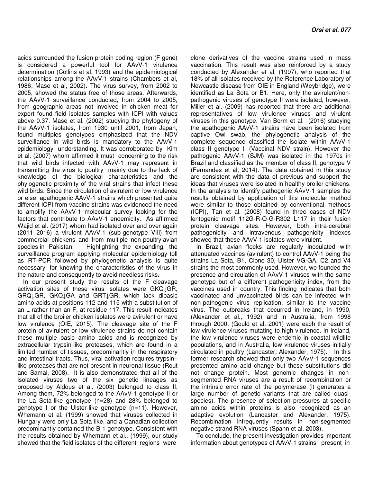acids surrounded the fusion protein coding region (F gene) is considered a powerful tool for AAvV-1 virulence determination (Collins et al. 1993) and the epidemiological relationships among the AAvV-1 strains (Chambers et al, 1986; Mase et al, 2002). The virus survey, from 2002 to 2005, showed the status free of those areas. Afterwards, the AAvV-1 surveillance conducted, from 2004 to 2005, from geographic areas not involved in chicken meat for export found field isolates samples with ICPI with values above 0.37. Mase et al. (2002) studying the phylogeny of the AAvV-1 isolates, from 1930 until 2001, from Japan, found multiples genotypes emphasized that the NDV surveillance in wild birds is mandatory to the AAvV-1 epidemiology understanding. It was corroborated by Kim et al. (2007) whom affirmed it must concerning to the risk that wild birds infected with AAvV-1 may represent in transmitting the virus to poultry mainly due to the lack of knowledge of the biological characteristics and the phylogenetic proximity of the viral strains that infect these wild birds. Since the circulation of avirulent or low virulence or else, apathogenic AAvV-1 strains which presented quite different ICPI from vaccine strains was evidenced the need to amplify the AAvV-1 molecular survey looking for the factors that contribute to AAvV-1 endemicity. As affirmed Wajid et al. (2017) whom had isolated over and over again (2011–2016) a virulent AAvV-1 (sub-genotype VIIi) from commercial chickens and from multiple non-poultry avian species in Pakistan. Highlighting the expanding, the surveillance program applying molecular epidemiology toll as RT-PCR followed by phylogenetic analysis is quite necessary, for knowing the characteristics of the virus in the nature and consequently to avoid needless risks.

In our present study the results of the F cleavage activation sites of these virus isolates were GKQ1GR, GRQ↓GR, GKQ↓GA and GRT↓GR, which lack dibasic amino acids at positions 112 and 115 with a substitution of an L rather than an F, at residue 117. This result indicates that all of the broiler chicken isolates were avirulent or have low virulence (OIE, 2015). The cleavage site of the F protein of avirulent or low virulence strains do not contain these multiple basic amino acids and is recognized by extracellular trypsin-like proteases, which are found in a limited number of tissues, predominantly in the respiratory and intestinal tracts. Thus, viral activation requires trypsin– like proteases that are not present in neuronal tissue (Rout and Samal, 2008). It is also demonstrated that all of the isolated viruses two of the six genetic lineages as proposed by Aldous et al. (2003) belonged to class II. Among them, 72% belonged to the AAvV-1 genotype II or the La Sota-like genotype (n=28) and 28% belonged to genotype I or the Ulster-like genotype (n=11). However, Whemann et al. (1999) showed that viruses collected in Hungary were only La Sota like, and a Canadian collection predominantly contained the B-1 genotype. Consistent with the results obtained by Whemann et al., (1999), our study showed that the field isolates of the different regions were

clone derivatives of the vaccine strains used in mass vaccination. This result was also reinforced by a study conducted by Alexander et al. (1997), who reported that 18% of all isolates received by the Reference Laboratory of Newcastle disease from OIE in England (Weybridge), were identified as La Sota or B1. Here, only the avirulent/nonpathogenic viruses of genotype II were isolated, however, Miller et al. (2009) has reported that there are additional representatives of low virulence viruses and virulent viruses in this genotype. Van Borm et al. (2016) studying the apathogenic AAvV-1 strains have been isolated from captive Owl swab, the phylogenetic analysis of the complete sequence classified the isolate within AAvV-1 class II genotype II (Vaccinal NDV strain). However the pathogenic AAvV-1 (SJM) was isolated in the 1970s in Brazil and classified as the member of class II, genotype V (Fernandes et al, 2014). The data obtained in this study are consistent with the data of previous and support the ideas that viruses were isolated in healthy broiler chickens. In the analysis to identify pathogenic AAvV-1 samples the results obtained by application of this molecular method were similar to those obtained by conventional methods (ICPI), Tan et al. (2008) found in three cases of NDV lentogenic motif 112G-R-Q-G-R302 L117 in their fusion protein cleavage sites. However, both intra-cerebral pathogenicity and intravenous pathogenicity indexes showed that these AAvV-1 isolates were virulent.

In Brazil, avian flocks are regularly inoculated with attenuated vaccines (avirulent) to control AAvV-1 being the strains La Sota, B1, Clone 30, Ulster VG-GA, C2 and V4 strains the most commonly used. However, we founded the presence and circulation of AAvV-1 viruses with the same genotype but of a different pathogenicity index, from the vaccines used in country. This finding indicates that both vaccinated and unvaccinated birds can be infected with non-pathogenic virus replication, similar to the vaccine virus. The outbreaks that occurred in Ireland, in 1990, (Alexander et al., 1992) and in Australia, from 1998 through 2000, (Gould et al. 2001) were each the result of low virulence viruses mutating to high virulence. In Ireland, the low virulence viruses were endemic in coastal wildlife populations, and in Australia, low virulence viruses initially circulated in poultry (Lancaster; Alexander, 1975). In this former research showed that only two AAvV-1 sequences presented amino acid change but these substitutions did not change protein. Most genomic changes in nonsegmented RNA viruses are a result of recombination or the intrinsic error rate of the polymerase (it generates a large number of genetic variants that are called quasispecies). The presence of selection pressures at specific amino acids within proteins is also recognized as an adaptive evolution (Lancaster and Alexander, 1975). Recombination infrequently results in non-segmented negative strand RNA viruses (Spann et al, 2003).

To conclude, the present investigation provides important information about genotypes of AAvV-1 strains present in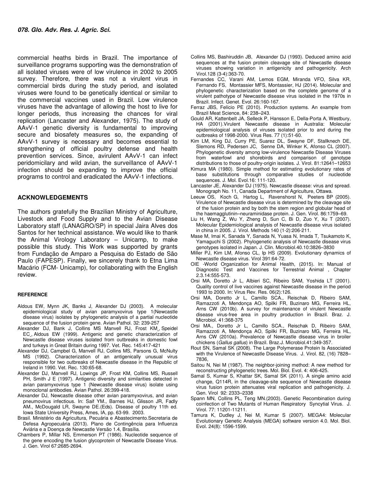commercial heaths birds in Brazil. The importance of surveillance programs supporting was the demonstration of all isolated viruses were of low virulence in 2002 to 2005 survey. Therefore, there was not a virulent virus in commercial birds during the study period, and isolated viruses were found to be genetically identical or similar to the commercial vaccines used in Brazil. Low virulence viruses have the advantage of allowing the host to live for longer periods, thus increasing the chances for viral replication (Lancaster and Alexander, 1975). The study of AAvV-1 genetic diversity is fundamental to improving secure and biosafety measures so, the expanding of AAvV-1 survey is necessary and becomes essential to strengthening of official poultry defense and health prevention services. Since, avirulent AAvV-1 can infect peridomicilary and wild avian, the surveillance of AAvV-1 infection should be expanding to improve the official programs to control and eradicated the AAvV-1 infections.

#### **ACKNOWLEDGEMENTS**

The authors gratefully the Brazilian Ministry of Agriculture, Livestock and Food Supply and to the Avian Disease Laboratory staff (LANAGRO/SP) in special Jaira Alves dos Santos for her technical assistance. We would like to thank the Animal Virology Laboratory – Unicamp, to make possible this study. This Work was supported by grants from Fundação de Amparo a Pesquisa do Estado de São Paulo (FAPESP). Finally, we sincerely thank to Etna Lima Macário (FCM- Unicamp), for collaborating with the English review.

#### **REFERENCE**

- Aldous EW, Mynn JK, Banks J, Alexander DJ (2003). A molecular epidemiological study of avian paramyxovirus type 1(Newcastle disease virus) isolates by phylogenetic analysis of a partial nucleotide sequence of the fusion protein gene. Avian Pathol. 32: 239-257
- Alexander DJ, Bank J, Collins MS Manvell RJ, Frost KM , Speidel EC , Aldous EW (1999). Antigenic and genetic characterization of Newcastle disease viruses isolated from outbreaks in domestic fowl and turkeys in Great Britain during 1997. Vet. Rec. 145:417-421
- Alexander DJ, Campbel G, Manvell RJ, Collins MS, Parsons G, McNulty MS (1992). Characterization of an antigenically unusual virus responsible for two outbreaks of Newcastle disease in the Republic of Ireland in 1990. Vet. Rec. 130:65-68.
- Alexander DJ, Manvell RJ, Lowings JP, Frost KM, Collins MS, Russell PH, Smith J E (1997). Antigenic diversity and similarities detected in avian paramyxovirus type 1 (Newcastle disease virus) isolate using monoclonal antibodies. Avian Pathol. 26:399-418.
- Alexander DJ, Newcastle disease other avian paramyxovirus, and avian pneumovirus infectious. In: Saif YM., Barnes HJ, Glisson JR, Fadly AM., McDougald LR, Swayne DE.(Eds). Disease of poultry 11th ed. Iowa State University Press, Ames, IA, pp. 63-99. 2003.
- Brasil. Ministério da Agricultura, Pecuária e Abastecimento.Secretaria de Defesa Agropecuária (2013). Plano de Contingência para Influenza Aviária e a Doença de Newcastle Versão 1.4, Brasília.
- Chambers P, Millar NS, Emmerson PT (1986). Nucleotide sequence of the gene encoding the fusion glycoprotein of Newcastle Disease Virus. J. Gen. Virol 67:2685-2694.
- Collins MS, Bashiruddin JB, Alexander DJ (1993). Deduced amino acid sequences at the fusion protein cleavage site of Newcastle disease viruses showing variation in antigenicity and pathogenicity. Arch Virol.128 (3-4):363-70.
- Fernandes CC, Varani AM, Lemos EGM, Miranda VFO, Silva KR, Fernando FS, Montassier MFS, Montassier, HJ (2014). Molecular and phylogenetic characterization based on the complete genome of a virulent pathotype of Newcastle disease virus isolated in the 1970s in Brazil. Infect. Genet. Evol. 26:160-167.
- Ferraz JBS, Felício PE (2010). Production systems. An example from Brazil Meat Science, 84: 238–243.
- Gould AR, Kattenbelt JA, Selleck P, Hansson E, Della-Porta A, Westbury, HA (2001).Virulent Newcastle disease in Australia: Molecular epidemiological analysis of viruses isolated prior to and during the outbreaks of 1998-2000. Virus Res. 77 (1):51-60.
- Kim LM, King DJ, Curry PE, Suarez DL, Swayne DF, Stallknech DE, Slemons RD, Pedersen JC, Senne DA, Winker K, Afonso CL (2007). Phylogenetic diversity among low-virulence Newcastle Disease Viruses from waterfowl and shorebirds and comparison of genotype distributions to those of poultry-origin isolates. J. Virol. 81:12641–12653
- Kimura MA (1980). Simple method for estimating evolutionary rates of base substitutions through comparative studies of nucleotide sequences. J. Mol. Evol.16: 111-120.
- Lancaster JE, Alexander DJ (1975). Newcastle disease: virus and spread. Monograph No. 11, Canada Department of Agriculture, Ottawa.
- Leeuw OS, Koch G, Hartog L, Ravenshorst N, Peeters BP (2005). Virulence of Newcastle disease virus is determined by the cleavage site of the fusion protein and by both the stem region and globular head of the haemagglutinin–neuraminidase protein. J. Gen. Virol. 86:1759–69.
- Liu H, Wang Z, Wu Y, Zheng D, Sun C, Bi D, Zuo Y, Xu T (2007). Molecular Epidemiological analysis of Newcastle disease virus isolated in china in 2005. J. Virol. Methods 140 (1-2):206-211.
- Mase M, Imai K, Sanada Y, Sanada N, Yuasa N, Imada T, Tsukamoto K, Yamaguchi S (2002). Phylogenetic analysis of Newcastle disease virus genotypes isolated in Japan. J. Clin. Microbiol.40.10:3826–3830
- Miller PJ, Kim LM, Afonso CL, Ip HS (2009). Evolutionary dynamics of Newcastle disease virus. Virol 391:64-72.
- OIE -World Organization for Animal Health, (2015). In: Manual of Diagnostic Test and Vaccines for Terrestrial Animal , Chapter 2.3.14:555-573.
- Orsi MA, Doretto Jr L, Albieri SC, Ribeiro SAM, Yoshida LT (2001). Quality control of live vaccines against Newcastle disease in the period 1993 to 2000. In: Virus Rev. Res. 06(2):126.
- Orsi MA, Doretto Jr L, Camillo SCA., Reischak D, Ribeiro SAM, Ramazzoti A, Mendonça AO, Spilki FR, Buzinaro MG, Ferreira HL, Arns CW (2010b). A survey for maintenance of virulent Newcastle disease virus-free area in poultry production in Brazil. Braz. J. Microbiol. 41:368-375
- Orsi MA., Doretto Jr L, Camillo SCA., Reischak D, Ribeiro SAM, Ramazzoti A, Mendonça AO, Spilki FR, Buzinaro MG, Ferreira HL, Arns CW (2010a). Prevalence of Newcastle disease virus in broiler chickens (Gallus gallus) in Brazil. Braz.J. Microbiol.41:349-357.
- Rout SN, Samal SK (2008). The Large Polymerase Protein Is Associated with the Virulence of Newcastle Disease Virus. J. Virol. 82, (16) 7828– 7836,
- Saitou N, Nei M (1987). The neighbor-joining method: A new method for reconstructing phylogenetic trees. Mol. Biol. Evol. 4: 406-425.
- Samal S, Kumar S, Khattar SK, Samal SK (2011). A single amino acid change, Q114R, in the cleavage-site sequence of Newcastle disease virus fusion protein attenuates viral replication and pathogenicity. J. Gen. Virol 92: 2333–2338
- Spann MN, Collins PL, Teng MN.(2003). Genetic Recombination during coinfection of Two Mutants of Human Respiratory Syncytial Virus. J. Virol. 77: 11201-11211.
- Tamura K, Dudley J, Nei M, Kumar S (2007). MEGA4: Molecular Evolutionary Genetic Analysis (MEGA) software version 4.0. Mol. Biol. Evol. 24(8): 1596-1599.